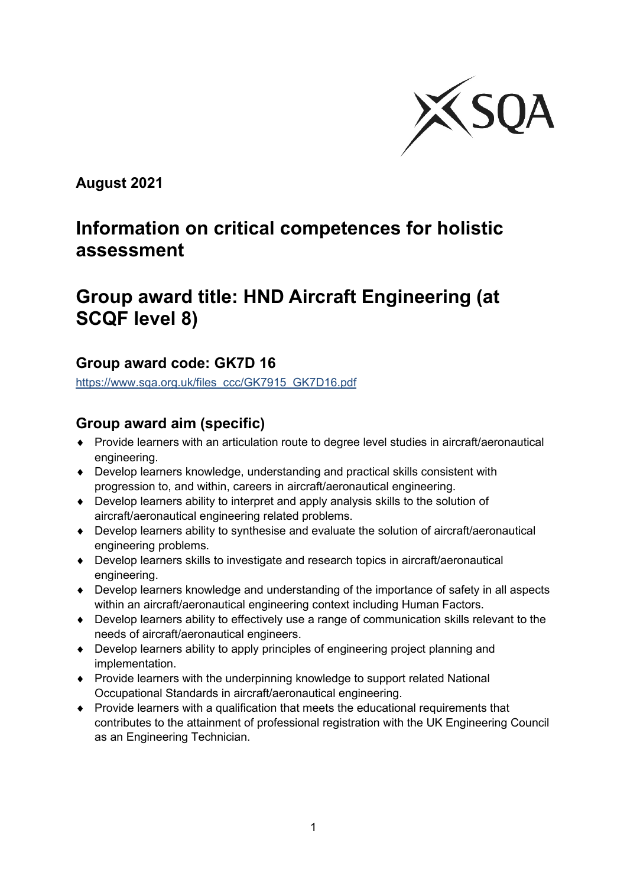

**August 2021**

# **Information on critical competences for holistic assessment**

# **Group award title: HND Aircraft Engineering (at SCQF level 8)**

## **Group award code: GK7D 16**

[https://www.sqa.org.uk/files\\_ccc/GK7915\\_GK7D16.pdf](https://www.sqa.org.uk/files_ccc/GK7915_GK7D16.pdf)

## **Group award aim (specific)**

- ♦ Provide learners with an articulation route to degree level studies in aircraft/aeronautical engineering.
- ♦ Develop learners knowledge, understanding and practical skills consistent with progression to, and within, careers in aircraft/aeronautical engineering.
- ♦ Develop learners ability to interpret and apply analysis skills to the solution of aircraft/aeronautical engineering related problems.
- ♦ Develop learners ability to synthesise and evaluate the solution of aircraft/aeronautical engineering problems.
- ♦ Develop learners skills to investigate and research topics in aircraft/aeronautical engineering.
- ♦ Develop learners knowledge and understanding of the importance of safety in all aspects within an aircraft/aeronautical engineering context including Human Factors.
- ♦ Develop learners ability to effectively use a range of communication skills relevant to the needs of aircraft/aeronautical engineers.
- ♦ Develop learners ability to apply principles of engineering project planning and implementation.
- ♦ Provide learners with the underpinning knowledge to support related National Occupational Standards in aircraft/aeronautical engineering.
- ♦ Provide learners with a qualification that meets the educational requirements that contributes to the attainment of professional registration with the UK Engineering Council as an Engineering Technician.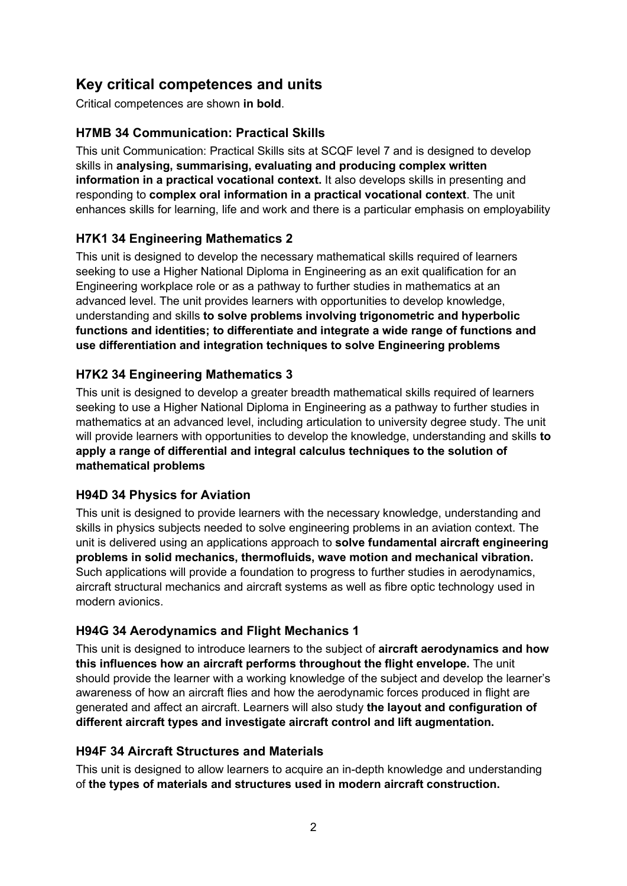## **Key critical competences and units**

Critical competences are shown **in bold**.

#### **H7MB 34 Communication: Practical Skills**

This unit Communication: Practical Skills sits at SCQF level 7 and is designed to develop skills in **analysing, summarising, evaluating and producing complex written information in a practical vocational context.** It also develops skills in presenting and responding to **complex oral information in a practical vocational context**. The unit enhances skills for learning, life and work and there is a particular emphasis on employability

### **H7K1 34 Engineering Mathematics 2**

This unit is designed to develop the necessary mathematical skills required of learners seeking to use a Higher National Diploma in Engineering as an exit qualification for an Engineering workplace role or as a pathway to further studies in mathematics at an advanced level. The unit provides learners with opportunities to develop knowledge, understanding and skills **to solve problems involving trigonometric and hyperbolic functions and identities; to differentiate and integrate a wide range of functions and use differentiation and integration techniques to solve Engineering problems**

#### **H7K2 34 Engineering Mathematics 3**

This unit is designed to develop a greater breadth mathematical skills required of learners seeking to use a Higher National Diploma in Engineering as a pathway to further studies in mathematics at an advanced level, including articulation to university degree study. The unit will provide learners with opportunities to develop the knowledge, understanding and skills **to apply a range of differential and integral calculus techniques to the solution of mathematical problems**

#### **H94D 34 Physics for Aviation**

This unit is designed to provide learners with the necessary knowledge, understanding and skills in physics subjects needed to solve engineering problems in an aviation context. The unit is delivered using an applications approach to **solve fundamental aircraft engineering problems in solid mechanics, thermofluids, wave motion and mechanical vibration.**  Such applications will provide a foundation to progress to further studies in aerodynamics, aircraft structural mechanics and aircraft systems as well as fibre optic technology used in modern avionics.

#### **H94G 34 Aerodynamics and Flight Mechanics 1**

This unit is designed to introduce learners to the subject of **aircraft aerodynamics and how this influences how an aircraft performs throughout the flight envelope.** The unit should provide the learner with a working knowledge of the subject and develop the learner's awareness of how an aircraft flies and how the aerodynamic forces produced in flight are generated and affect an aircraft. Learners will also study **the layout and configuration of different aircraft types and investigate aircraft control and lift augmentation.**

#### **H94F 34 Aircraft Structures and Materials**

This unit is designed to allow learners to acquire an in-depth knowledge and understanding of **the types of materials and structures used in modern aircraft construction.**